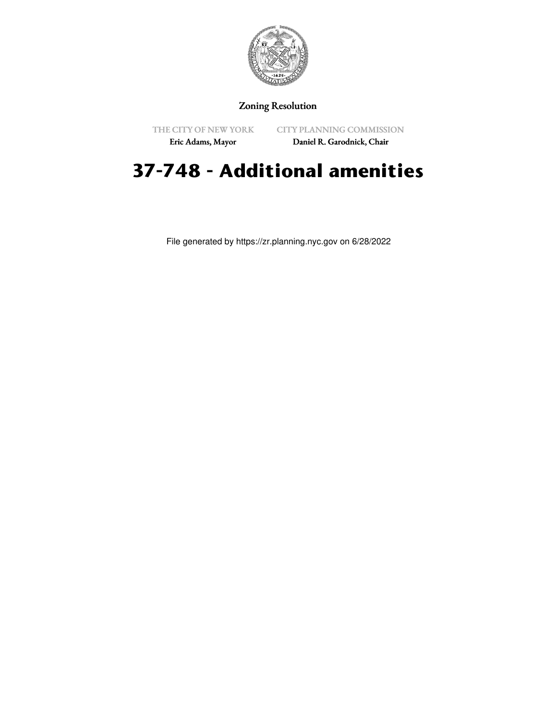

## Zoning Resolution

THE CITY OF NEW YORK

CITY PLANNING COMMISSION

Eric Adams, Mayor

Daniel R. Garodnick, Chair

## **37-748 - Additional amenities**

File generated by https://zr.planning.nyc.gov on 6/28/2022